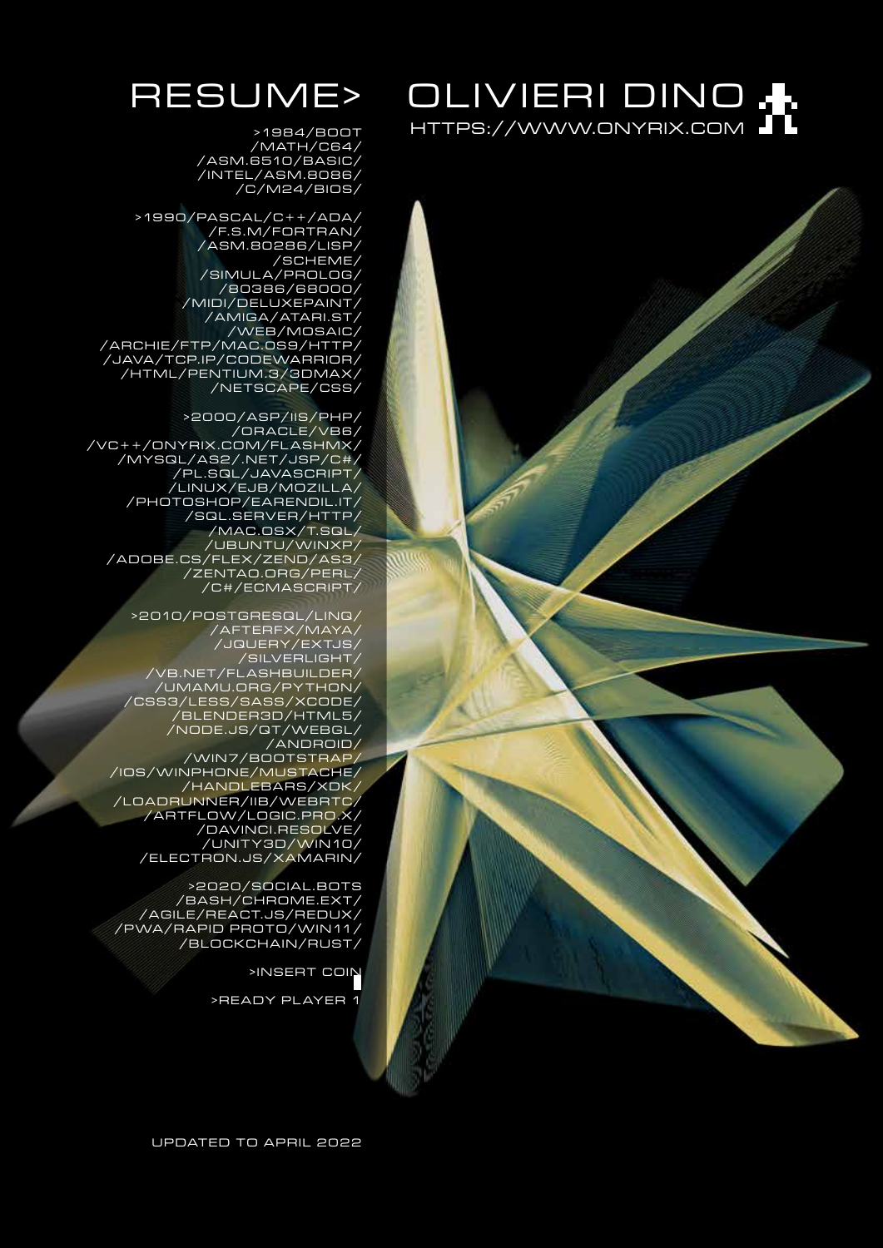# OLIVIERI DINO . HTTPS://WWW.ONYRIX.COM

# RESUME>

> 19 8 4 / B O O T /MATH/C64/ /ASM.6510/BASIC/ /INTEL/ASM.8086/ /C/M24/BIOS/

> 19 9 0 / PA S C A L / C + + / A DA / /F.S.M/FORTRAN/ /ASM.80286/LISP/ /SCHEME/ /SIMULA/PROLOG/ /80386/68000/ /MIDI/DELUXEPAINT/ /AMIGA/ATARI.ST/ /WEB/MOSAIC/ /ARCHIE/FTP/MAC.0S9/HTTP/ /JAVA/TCP.IP/CODEWARRIOR/ /HTML/PENTIUM.3/3DMAX/ /NETSCAPE/CSS/

>2000/ASP/IIS/PHP/ /ORACLE/VB6/ /VC++/ONYRIX.COM/FLASHMX/ /MYSQL/AS2/.NET/JSP/C#/  $/$  PL.SGL $/$ JAVASCRIPT $/$ /LINUX/EJB/MOZILLA/ /PHOTOSHOP/EARENDIL.IT/ /SQL.SERVER/HTTP/ /MAC.OSX/T.SQL/ /UBUNTU/WINXP/ /ADOBE.CS/FLEX/ZEND/AS3/ /ZENTAO.ORG/PERL/ /C#/ECMASCRIPT/

>2010/POSTGRESQL/LINQ/ / A F T E R F X / M AYA / /JQUERY/EXTJS/ /SILVERLIGHT/ /VB.NET/FLASHBUILDER/ /UMAMU.ORG/PYTHON/ /CSS3/LESS/SASS/XCODE/ /BLENDER3D/HTML5/ /NODE.JS/QT/WEBGL/ /ANDROID/ /WIN7/BOOTSTRAP/ /IOS/WINPHONE/MUSTACHE/ /HANDLEBARS/XDK/ /LOADRUNNER/IIB/WEBRTC/ /ARTFLOW/LOGIC.PRO.X/ / DAV I N C I . R E S O LV E / /UNIT Y3D/WIN10/ /ELECTRON.JS/XAMARIN/

>2020/SOCIAL.BOTS /BASH/CHROME.EXT/  $/$ AGILE $/$ REACT.JS $/$ REDUX $/$ / P WA / R A P I D P R O T O / W I N 11 / /BLOCKCHAIN/RUST/

>INSERT COIN

> READY PLAYER 1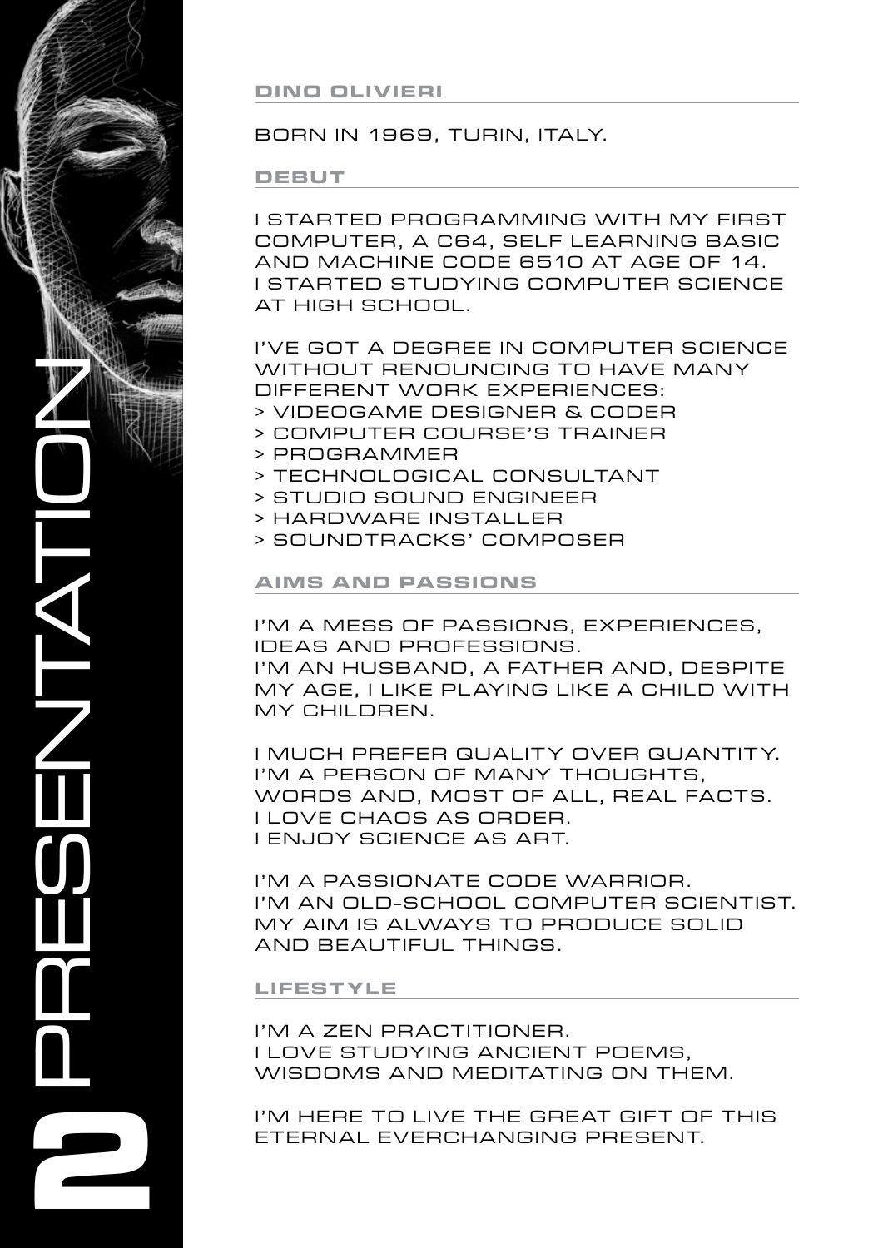**RESENTATION 2**

**Dino Olivieri**

# BORN IN 1969, TURIN, ITALY.

### **debut**

I started programming with my first computer, a C64, self learning basic and machine code 6510 at age OF 14. **I STARTED STUDYING COMPUTER SCIENCE** at high school.

I'VE GOT A degree in computer science WITHOUT RENOUNCING TO HAVE MANY different work experiences: > videogame designer & CODER

- > computer course's trainer
- > programmer
- > technological consultant
- > STUDIO SOUND ENGINEER
- > HARDWARE INSTALLER
- > SOUNDTRACKS' COMPOSER

# **AIMS AND PASSIONS**

I'M A MESS OF PASSIONS, EXPERIENCES. ideas and professions. I'M AN HUSBAND, A FATHER AND, DESPITE MY AGE, I LIKE PLAYING LIKE A CHILD WITH my children.

I much prefer quality over quantity. I'M A PERSON OF MANY THOUGHTS, words and, most of all, REAL facts. I love chaos as order. I ENJOY science as art.

I'M A PASSIONATE CODE WARRIOR. I'M AN OLD-SCHOOL COMPUTER SCIENTIST. MY AIM IS ALWAYS TO PRODUCE SOLID and beautiful things.

### **LIF ES T YLE**

I'M A ZEN PRACTITIONER. i love studyING ancient poems, WISDOMS AND MEDITATING ON THEM.

I'M HERE TO LIVE THE GREAT GIFT OF THIS eternal everchanging present.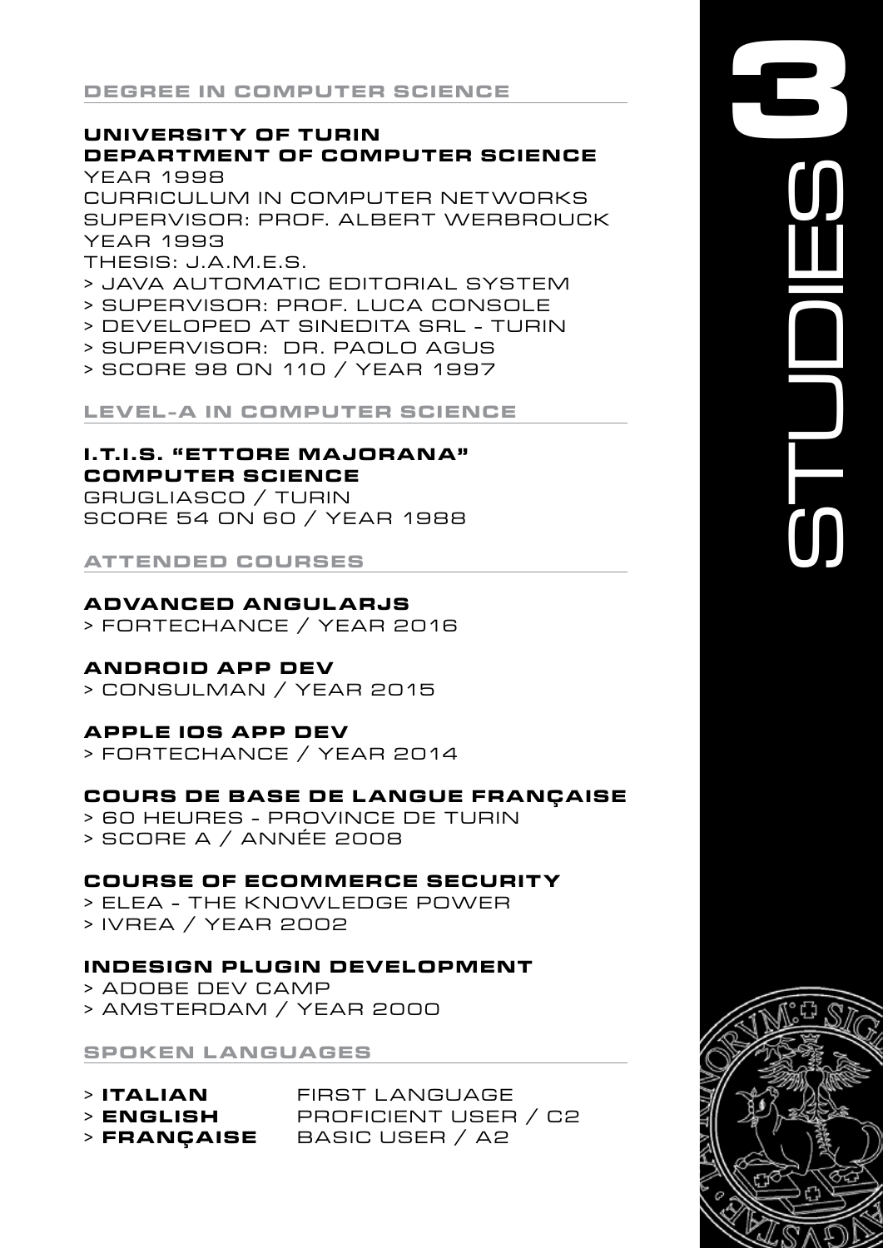# UNIVERSITY OF TURIN **DEPARTMENT OF COMPUTER SCIENCE**

**YEAR 1998** CURRICULUM IN COMPUTER NETWORKS SUPERVISOR: PROF. ALBERT WERBROUCK YEAR 1993 THESIS: J.A.M.E.S.

- > JAVA AUTOMATIC EDITORIAL SYSTEM
- > SUPERVISOR: PROF. LUCA CONSOLE
- > DEVELOPED AT SINEDITA SRL TURIN
- > SUPERVISOR: DR. PAOLO AGUS
- > SCORE 98 ON 110 / YEAR 1997

**LEVEL-A IN COMPUTER SCIENCE** 

#### **I.T.I.S. "ETTORE MAJORANA" COMPUTER SCIENCE**

GRUGLIASCO / TURIN SCORE 54 ON 60 / YEAR 1988

**ATTENDED COURSES** 

### **ADVANCED ANGULARJS**

> FORTECHANCE / YEAR 2016

### **ANDROID APP DEV**

> CONSULMAN / YEAR 2015

# **APPLE IOS APP DEV**

> FORTECHANCE / YEAR 2014

# **COURS DE BASE DE LANGUE FRANÇAISE**

> 60 HEURES - PROVINCE DE TURIN > SCORE A / ANNÉE 2008

### **COURSE OF ECOMMERCE SECURITY**

> FI FA - THE KNOWI FDGE POWER > IVREA / YEAR 2002

### **INDESIGN PLUGIN DEVELOPMENT**

> ADOBE DEV CAMP > AMSTERDAM / YEAR 2000

**SPOKEN LANGUAGES** 

| $>$ ITALIAN | FIRST LANGUAGE       |
|-------------|----------------------|
| > ENGLISH   | PROFICIENT USER / C2 |
| > FRANÇAISE | BASIC USER / A2      |

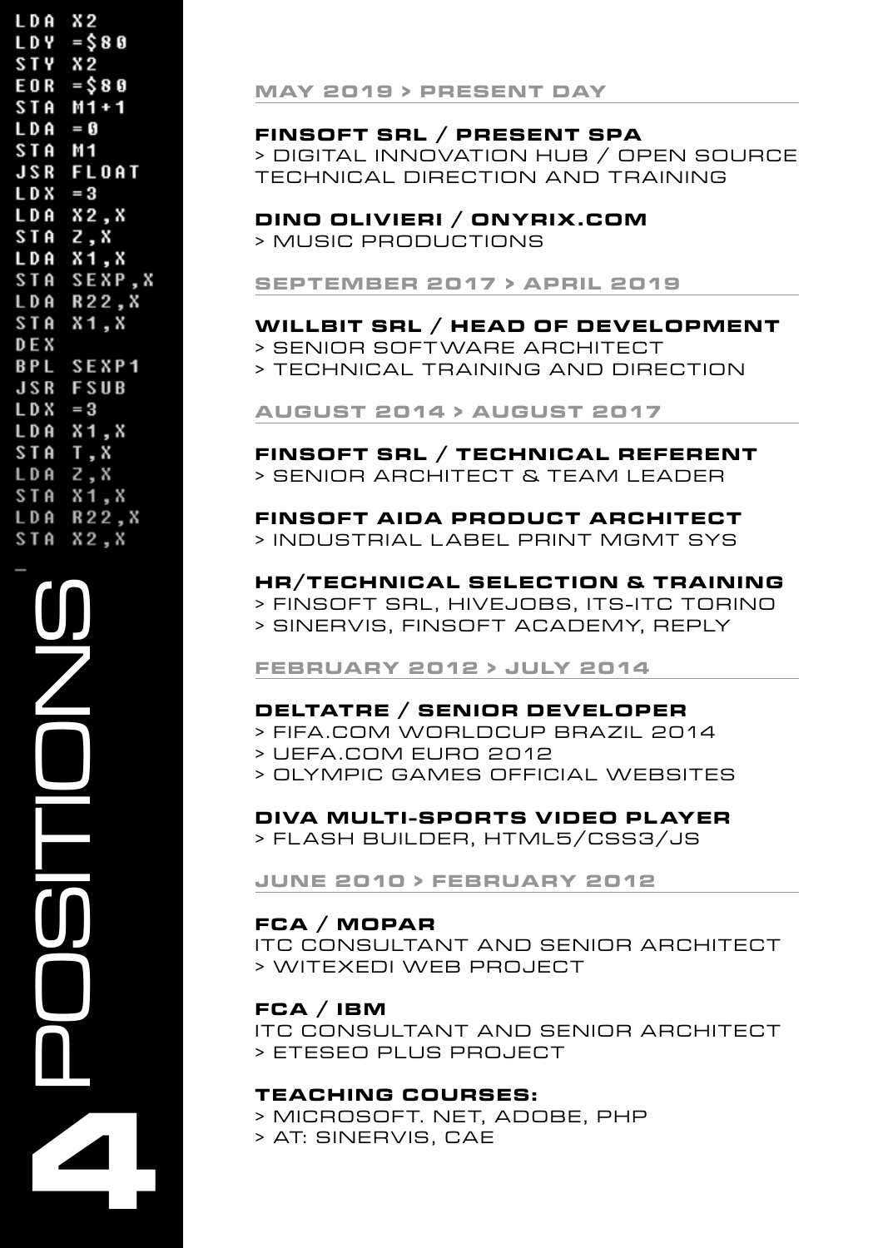| L D A      | X 2                 |
|------------|---------------------|
|            |                     |
| LDY        | = \$ 8 0<br>X 2     |
|            |                     |
|            | STY X2<br>EOR =\$80 |
|            | STA M1+1            |
| L D A      | = 0                 |
| <b>STA</b> | M <sub>1</sub>      |
| JSR        | FLOAT               |
| $LDX = 3$  |                     |
|            | LDA X2,X            |
| STA Z,X    |                     |
| LDA        | X1,X                |
|            | STA SEXP,X          |
|            | <b>LDA R22,X</b>    |
| <b>STA</b> | X1, X               |
| DE X       |                     |
|            | <b>BPL SEXP1</b>    |
| <b>JSR</b> | FSUB                |
| L D X      | $=3$                |
| L D A      | X1,X                |
| <b>STA</b> | T, X                |
|            |                     |
| L D A      | Z,X                 |
| <b>STA</b> | X1,X                |
|            | <b>LDA R22, X</b>   |
|            | STA X2,X            |
|            |                     |

#### **MAY 2019 > PRESENT DAY**

#### FINSOFT SRL / PRESENT SPA

> DIGITAL INNOVATION HUB / OPEN SOURCE TECHNICAL DIRECTION AND TRAINING

#### DINO OLIVIERI / ONYRIX.COM

> MUSIC PRODUCTIONS

**SEPTEMBER 2017 > APRIL 2019** 

#### WILLBIT SRL / HEAD OF DEVELOPMENT

- > SENIOR SOFTWARE ARCHITECT
- > TECHNICAL TRAINING AND DIRECTION

**AUGUST 2014 > AUGUST 2017** 

#### FINSOFT SRL / TECHNICAL REFERENT > SENIOR ARCHITECT & TEAM LEADER

# FINSOFT AIDA PRODUCT ARCHITECT

> INDUSTRIAL LABEL PRINT MGMT SYS

#### HR/TECHNICAL SELECTION & TRAINING

> FINSOFT SRL, HIVEJOBS, ITS-ITC TORINO > SINERVIS, FINSOFT ACADEMY, REPLY

#### **FEBRUARY 2012 > JULY 2014**

#### DELTATRE / SENIOR DEVELOPER

> FIFA.COM WORLDCUP BRAZIL 2014

- > UEFA.COM EURO 2012
- > OLYMPIC GAMES OFFICIAL WEBSITES

### DIVA MULTI-SPORTS VIDEO PLAYER

> FLASH BUILDER, HTML5/CSS3/JS

#### **JUNE 2010 > FEBRUARY 2012**

#### $FCA / MOPAR$

ITC CONSULTANT AND SENIOR ARCHITECT > WITEXEDI WEB PROJECT

#### FCA / IBM

ITC CONSULTANT AND SENIOR ARCHITECT > ETESEO PLUS PROJECT

#### **TEACHING COURSES:**

> MICROSOFT. NET, ADOBE, PHP

> AT: SINERVIS, CAE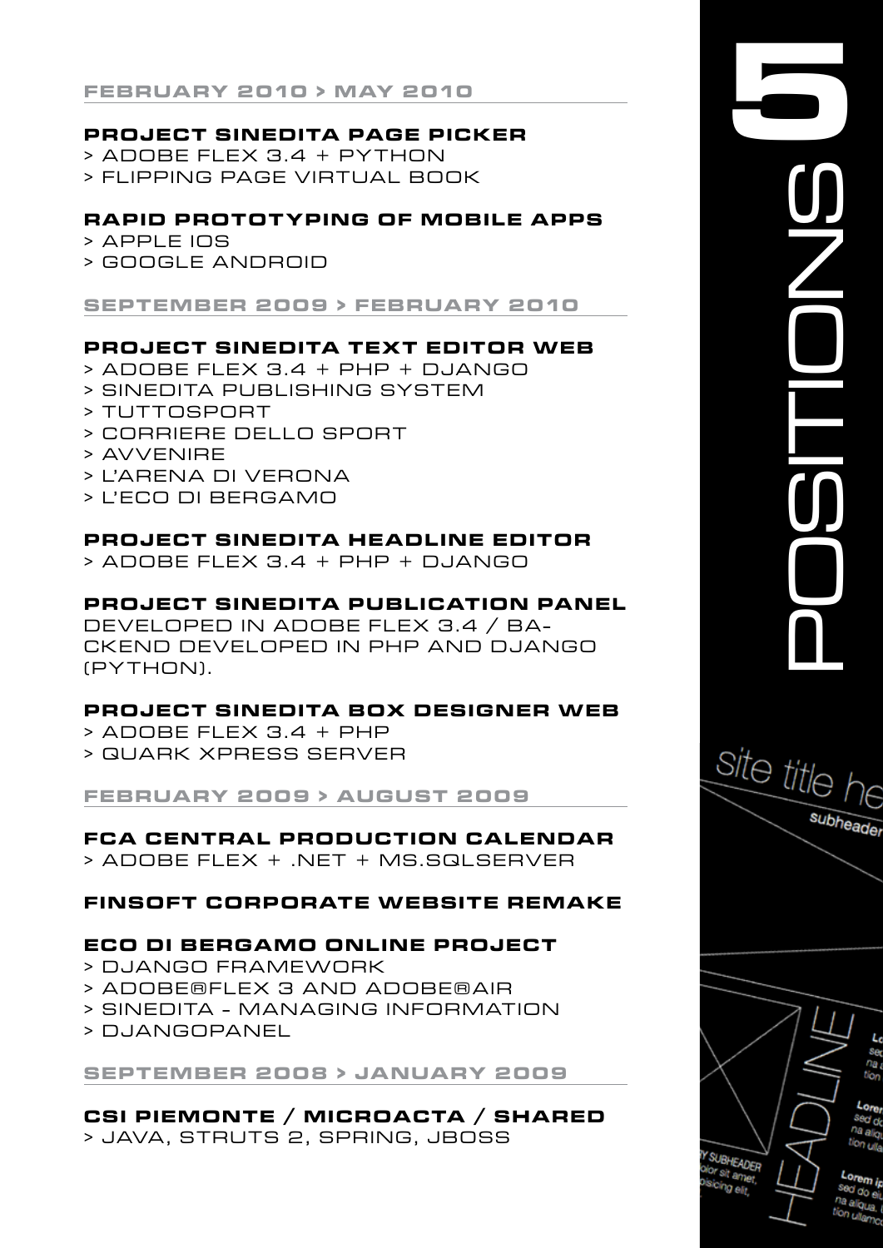**f ebruary 2010 > may 2010**

### **PROJECT SINEDITA PAGE PICKER**

- > Adobe Flex 3.4 + Python
- > flipping page virtual book

### **RA PID Protot yping of MOBILE APPS**

- > Apple IOS
- > Google Android

### **sept ember 2009 > f ebruary 2010**

### **PROJECT SINEDITA TEXT EDITOR WEB**

- $>$  ADOBE FLEX 3.4 + PHP + DJANGO
- > Sinedita Publishing System
- > Tuttosport
- > Corriere dello S port
- > Avvenire
- > L'Arena di Verona
- > l' E co di Bergamo

# **PROJECT SINEDITA HEADLINE EDITOR**

 $>$  ADOBE FLEX 3.4 + PHP + DJANGO

### **PROJECT SINEDITA PUBLICATION PANEL**

developed in Adobe Flex 3.4 / ba-CKEND DEVELOPED IN PHP AND DJANGO (PYTHON).

### **PROJECT SINEDITA BOX DESIGNER WEB**

- $>$  ADOBE FLEX 3.4 + PHP
- > Quark Xpress Server

**f ebruary 2009 > augus t 2009**

# **FCA Central Production Calendar**

> Adobe Flex + .NET + MS.SQLSERVER

# **FINSOF T co rpo rate we bsite REMAKE**

### **Eco di Bergamo Online PROJECT**

- > D jango framework
- > Adobe® Flex 3 and Adobe®AIR
- > Sinedita Managing Information
- > D jangoPanel

# **sept ember 2008 > jan uary 2009**

**CSI PIEMONTE / MICROACTA / SHARED** > JAVA, STRUTS 2, SPRING, JBOSS

|  | subheader |
|--|-----------|

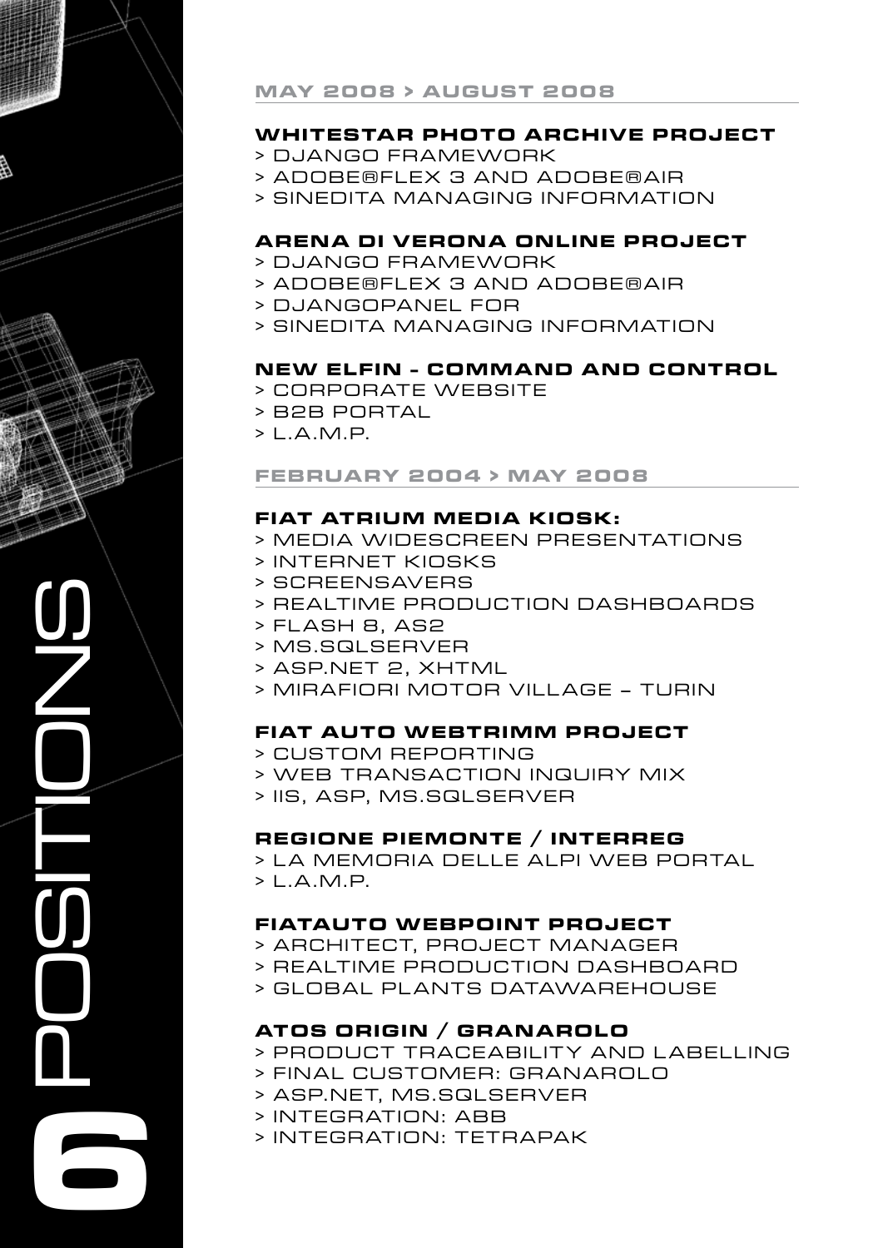

### **may 2008 > augus t 2008**

# **Whites tar Photo Archive PROJECT**

- > D jango framework
- > Adobe® Flex 3 and Adobe®AIR
- > Sinedita Managing Information

### **Arena di Verona Online PROJECT**

- > D jango framework
- > Adobe® Flex 3 and Adobe®AIR
- > D jangoPanel for
- > Sinedita Managing Information

### **New E lfin - Command and Control**

- > corporate website
- > B2B portal
- $> 1.A.M.P.$

### **f ebruary 2004 > may 2008**

### **F iat Atrium Media Kiosk:**

- > media WIDESCREEN presentations
- > internet kiosks
- > screensavers
- > realtime production dashboards
- > Flash 8, AS2
- > MS.SqlServer
- > Asp. Net 2, XHTML
- > Mirafiori Motor Village Turin

### **FIAT AUTO WEBTRIMM PROJECT**

- > custom Reporting
- > WEB TRansaction Inquiry Mix
- > IIS, ASP, MS.SQLSERVER

### **REGIONE PIEMONTE / INTERREG**

> LA MEMORIA DELLE ALPI WEB PORTAL > L.A.M.P.

### **FIATAUTO WEBPOINT PROJECT**

- > Architect, Project Manager
- > realtime PRODUCTION dashboard
- > GLOBAL PLANTS datawarehouse

# **ATOS ORIGIN / GRANAROLO**

- > product traceability and labelling
- > FINAL CUSTOMER: Granarolo
- > ASP.NET, MS.SQLSERVER
- > INTEGRATION: ABB
- > INTEGRATION: TetraPak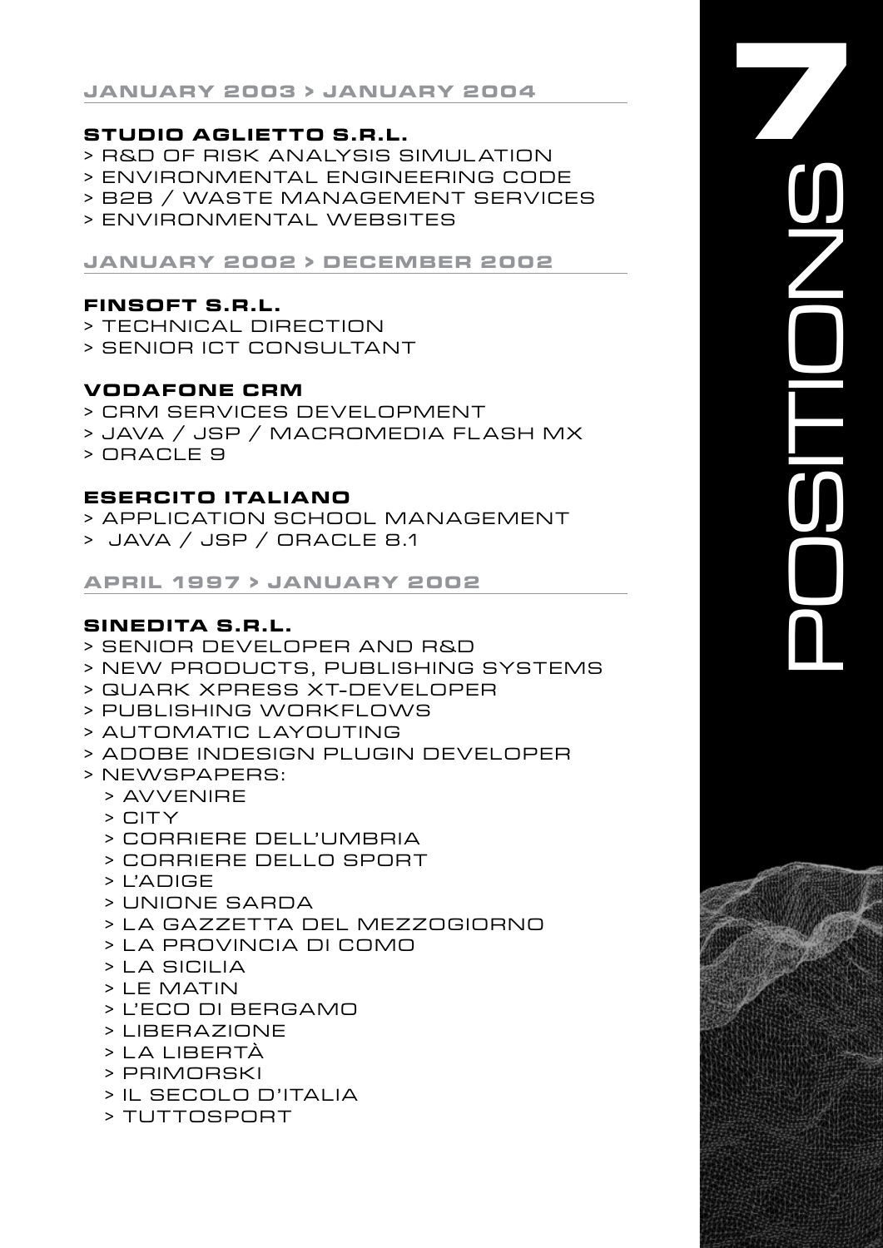# **Studio Aglietto S.R.L.**

- > R&D of Risk Analysis Simulation
- > ENVIRONMENTAL ENGINEERING C ODE
- > B2B / Waste Management SERVICES
- > Environmental websites

### **jan uary 2002 > december 2002**

# **FINSOFT S.R.L.**

- > Technical direction
- > SENIOR ICT CONSULTANT

# **Vodafone CRM**

- > CRM SERVICES DEVELOPMENT
- > Java / JSP / Macromedia Flash MX
- > Oracle 9

# **ESERCITO ITALIANO**

- > APPLICATION SCHOOL MANAGEMENT
- > Java / JSP / Oracle 8 .1

# **april 1997 > jan uary 2002**

# **SINEDITA S.R.L.**

- > Senior developer and R&D
- > New Products, Publishing Systems
- > Quark Xpress XT-DEVELOPER
- > PUBLISHING WORKFLOWS
- > AUTOMATIC LAYOUTING
- > Adobe InDesign PLUGIN DEVELOPER
- > newspapers:
	- > Avvenire
	- $>$  CITY
	- > Corriere dell' Umbria
	- > CORRIERE DELLO SPORT
	- > L'Adige
	- > Unione Sarda
	- > L a Gazzetta del Mezzogiorno
	- > L a Provincia di Como
	- $>$  LA SICILIA
	- > Le Matin
	- > L' E co di Bergamo
	- > Liberazione
	- > L a Libertà
	- > Primorski
	- > Il Secolo d' Italia
	- > Tuttosport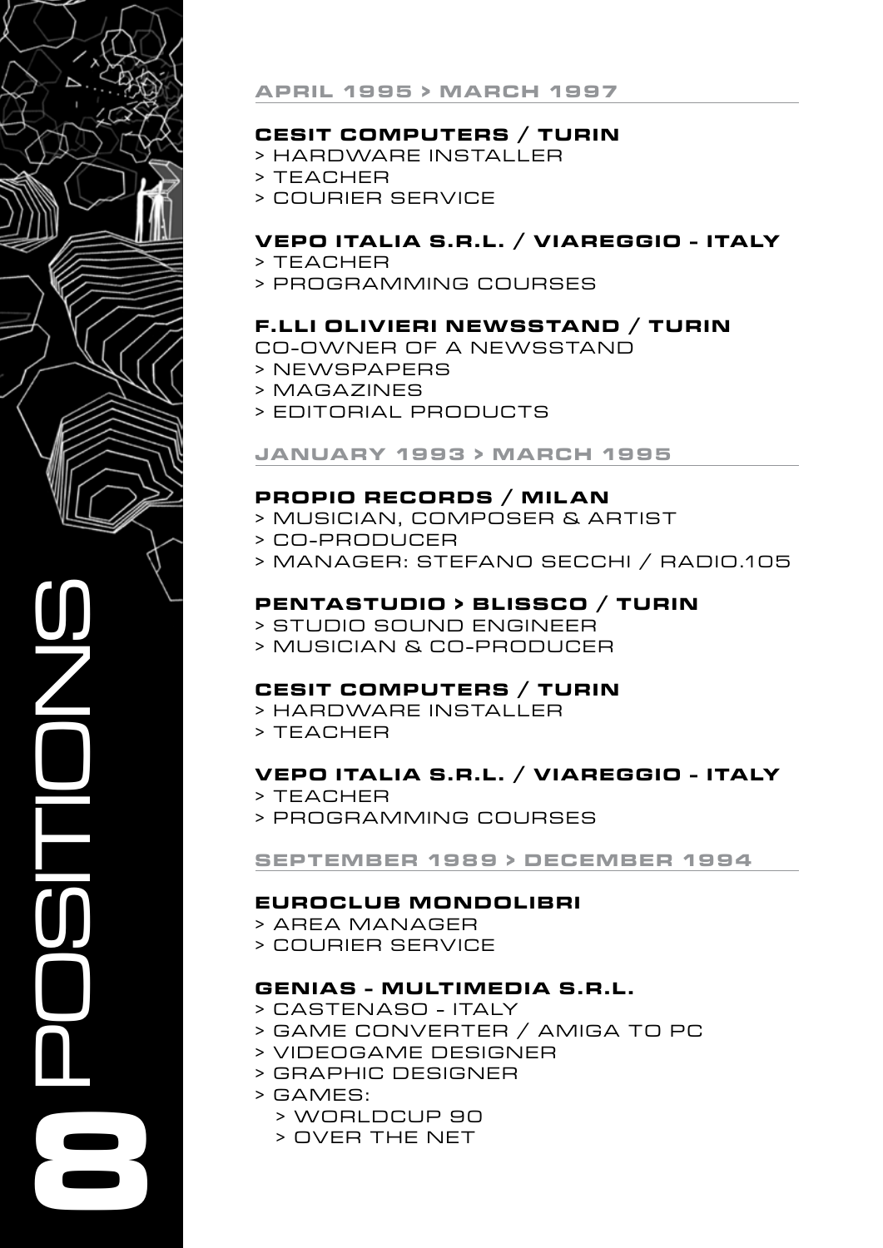

### **april 1995 > march 1997**

### **C esit Computers / Turin**

- > HARDWARE INSTALLER
- > TEACHER
- > COURIER SERVICE

### **Vepo I tal ia S.R.L. / Viareggio - I taly**

- > Teacher
- > Programming COURSES

### **F.LLI OLIVIERI NEWSS TAND / TURIN**

CO-Owner OF A NEWSSTAND

- > newspapers
- > magazines
- > EDITORIAL PRODUCTS

### **jan uary 1993 > march 1995**

### **PROPIO RECORDS / MILAN**

- > MUSICIAN, COMPOSER & ARTIST
	- > C O P R O D U C E R
- > MANAGER: STEFANO SECCHI / RADIO.105

### **PENTA S TUDIO > BLISSCO / TURIN**

- > STUDIO SOUND ENGINEER
- > MUSICIAN & CO-PRODUCER

### **C esit Computers / Turin**

- > HARDWARE INSTALLER
- $>$  TEACHER

### **Vepo I tal ia S.R.L. / Viareggio - I taly**

- > Teacher
- > Programming COURSES

### **sept ember 1989 > december 1994**

### **EuroClub Mondolibri**

- > AREA MANAGER
- > COURIER SERVICE

### **Genias - Multimedia S.R.L.**

- > Castenaso Italy
- > GAME CONVERTER / AMIGA TO PC
- > VIDEOGAME DESIGNER
- > GRAPHIC DESIGNER
- > GAMES:
	- > WORLDCUP 90
	- > OVER THE NET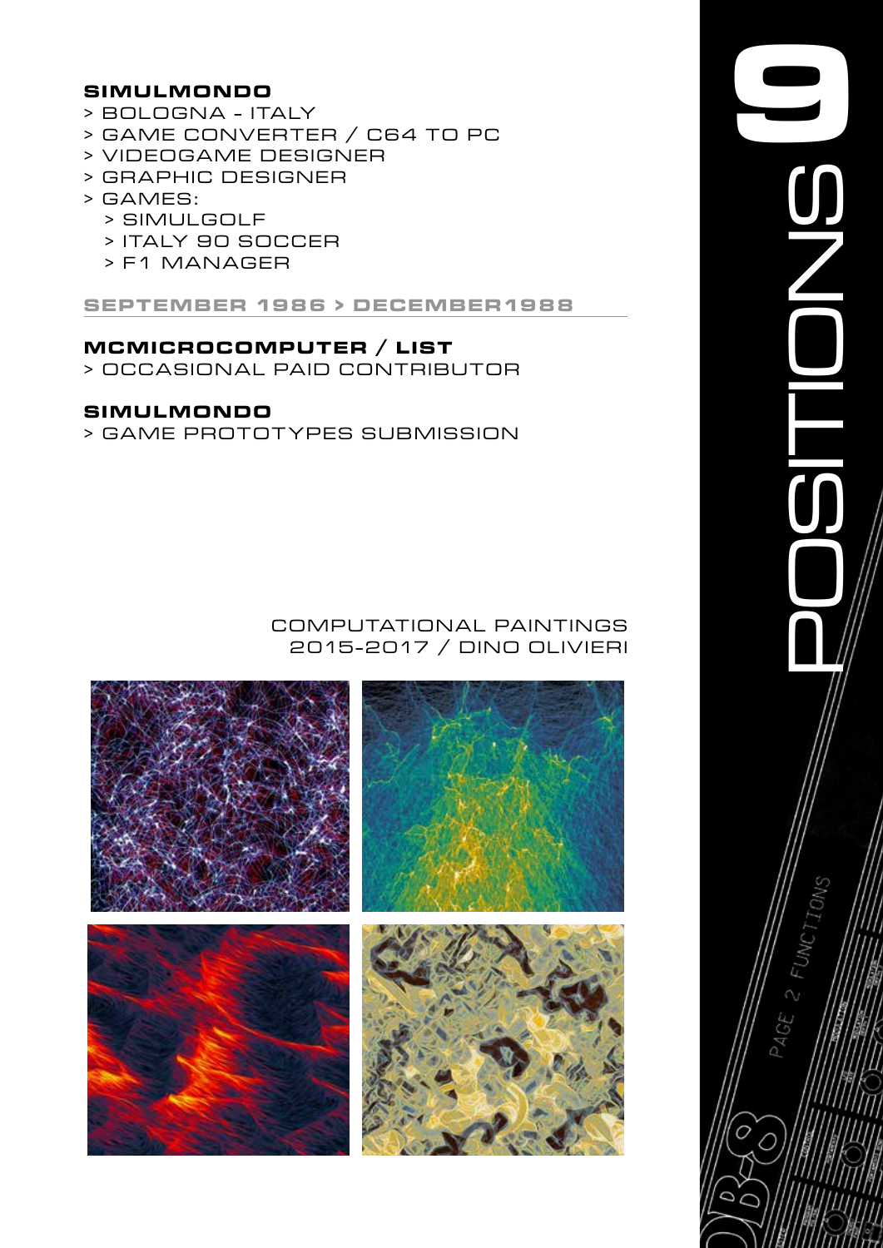### **SIMULMONDO**

- > BOLOGNA ITALY
- > GAME CONVERTER / C64 TO PC
- > VIDEOGAME DESIGNER
- > GRAPHIC DESIGNER
- > GAMES:
	- > SIMULGOLF
	- > ITALY 90 SOCCER
	- > F1 MANAGER

**SEPTEMBER 1986 > DECEMBER1988**

### **MCMICROCOMPUTER / LIST**

> OCCASIONAL PAID CONTRIBUTOR

### **SIMULMONDO**

> GAME PROTOTYPES SUBMISSION

### computational paintings 2 015 - 2 017 / Dino olivieri



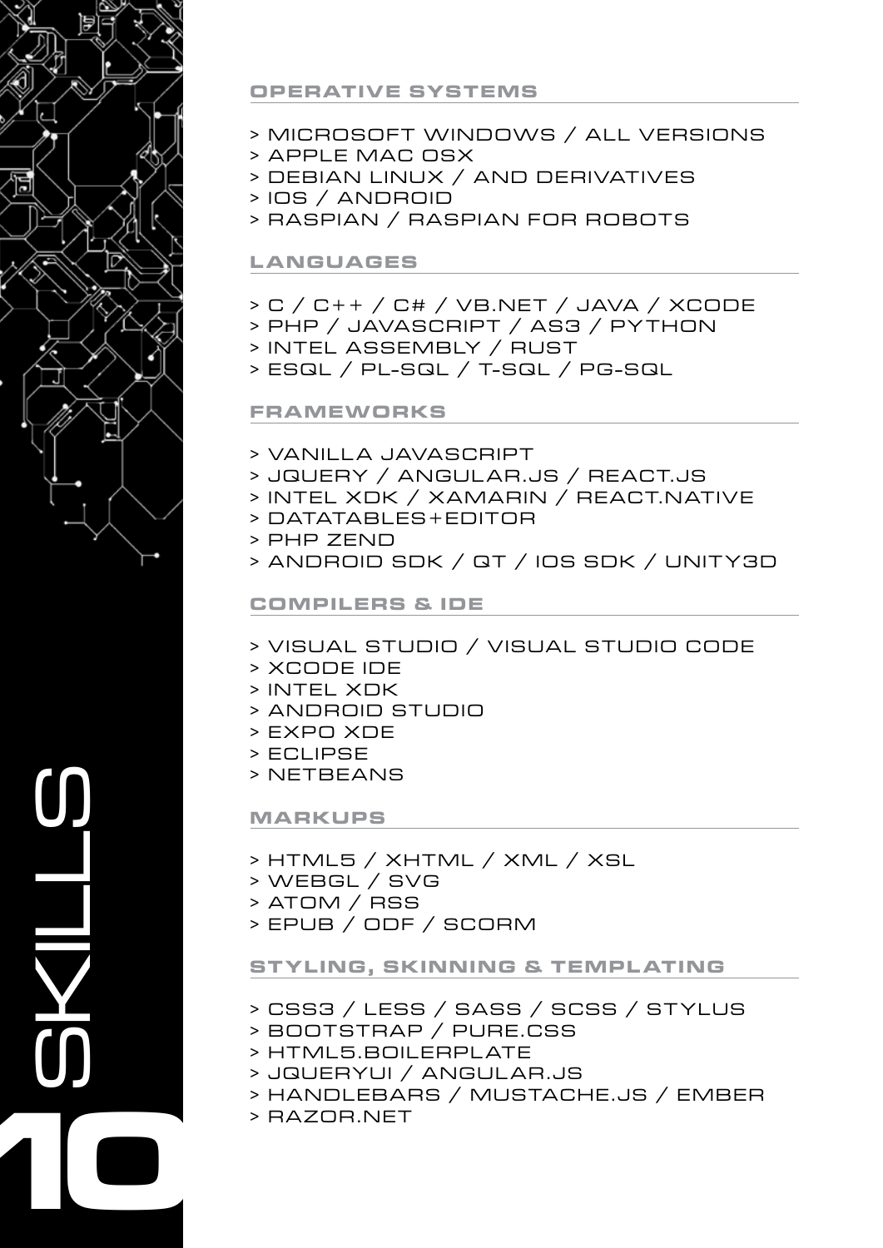

### **OPERATIVE SYSTEMS**

- > MICROSOFT WINDOWS / ALL VERSIONS
- > APPLE MAC OSX
- > DEBIAN LINUX / AND DERIVATIVES
- > IOS / ANDROID
- > RASPIAN / RASPIAN FOR ROBOTS

### **LANGUAGES**

- > C / C++ / C# / VB.NET / JAVA / XCODE
- > PHP / JAVASCRIPT / AS3 / PYTHON
- > INTEL ASSEMBLY / RUST
- > ESQL / PL-SQL / T-SQL / PG-SQL

### **FRAMEWORKS**

- > VANILLA JAVASCRIPT
- > JQUERY / ANGULAR.JS / REACT.JS
- > INTEL XDK / XAMARIN / REACT.NATIVE
- > DATATABLES+EDITOR
- > PHP ZEND
- > ANDROID SDK / QT / IOS SDK / UNITY3D

### **COMPILERS & IDE**

- > VISUAL STUDIO / VISUAL STUDIO CODE
- > XCODE IDE
- > INTEL XDK
- > ANDROID STUDIO
- > EXPO XDE
- > ECLIPSE
- > NETBEANS

### **MARKUPS**

- > HTML5 / XHTML / XML / XSL
- > WEBGL / SVG
- $>$  ATOM / RSS
- > EPUB / ODF / SCORM

### **STYLING, SKINNING & TEMPLATING**

- > CSS3 / LESS / SASS / SCSS / STYLUS
- > BOOTSTRAP / PURE.CSS
- > HTML5.BOILERPLATE
- > JQUERYUI / ANGULAR.JS
- > HANDLEBARS / MUSTACHE.JS / EMBER
- > RAZOR.NET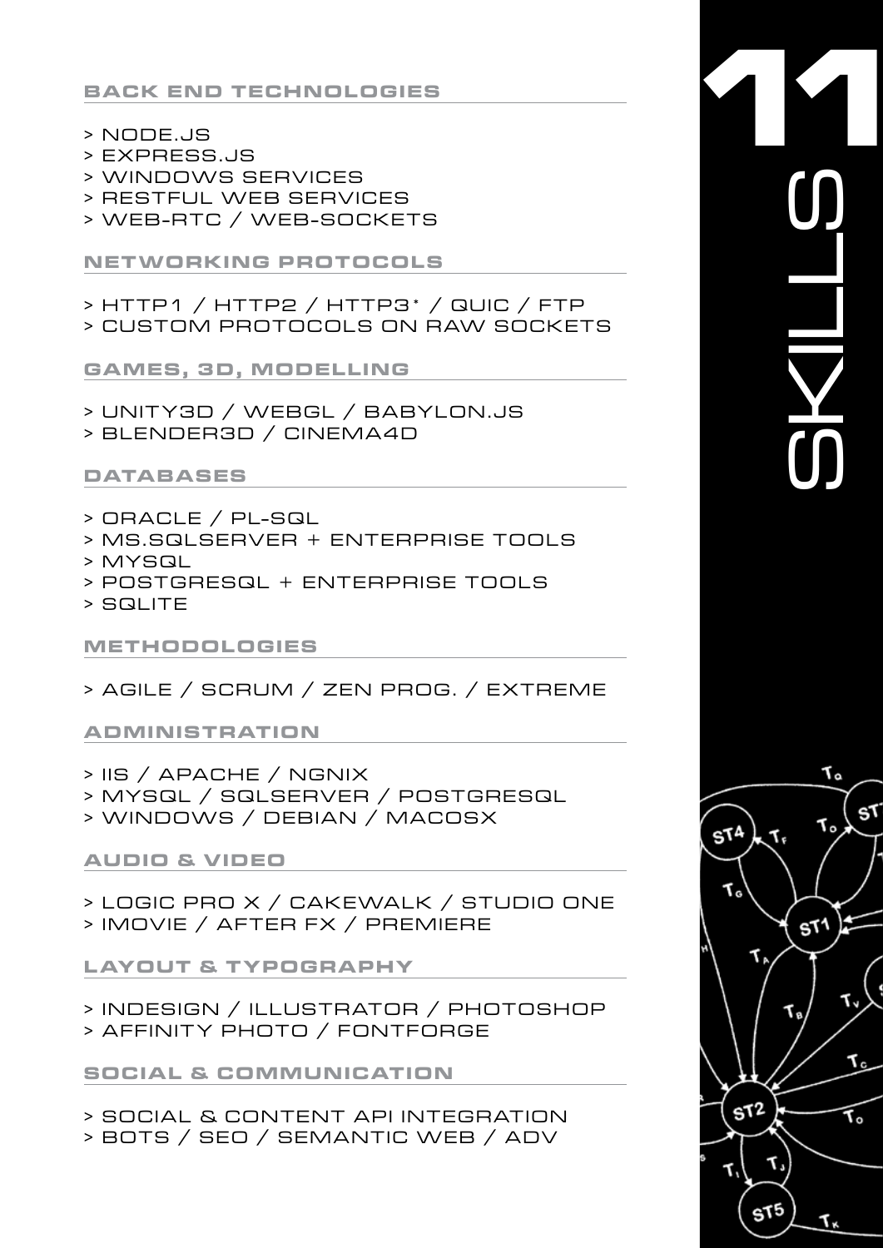**BACK END TECHNOLOGIES** 

- > NODE.JS
- > EXPRESS.JS
- > WINDOWS SERVICES
- > RESTFUL WEB SERVICES
- > WEB-RTC / WEB-SOCKETS

**NETWORKING PROTOCOLS** 

> HTTP1 / HTTP2 / HTTP3\* / QUIC / FTP > CUSTOM PROTOCOLS ON RAW SOCKETS

GAMES, 3D, MODELLING

- > UNITY3D / WEBGL / BABYLON.JS
- > BLENDER3D / CINEMA4D

# **DATABASES**

- > ORACLE / PL-SQL
- > MS.SQLSERVER + ENTERPRISE TOOLS
- > MYSQL
- > POSTGRESQL + ENTERPRISE TOOLS
- > SQLITE

# **METHODOLOGIES**

> AGILE / SCRUM / ZEN PROG. / EXTREME

**ADMINISTRATION** 

- > IIS / APACHE / NGNIX
- > MYSQL / SQLSERVER / POSTGRESQL
- > WINDOWS / DEBIAN / MACOSX

# **AUDIO & VIDEO**

> LOGIC PRO X / CAKEWALK / STUDIO ONE > IMOVIE / AFTER FX / PREMIERE

**LAYOUT & TYPOGRAPHY** 

> INDESIGN / ILLUSTRATOR / PHOTOSHOP > AFFINITY PHOTO / FONTFORGE

**SOCIAL & COMMUNICATION** 

> SOCIAL & CONTENT API INTEGRATION > BOTS / SEO / SEMANTIC WEB / ADV

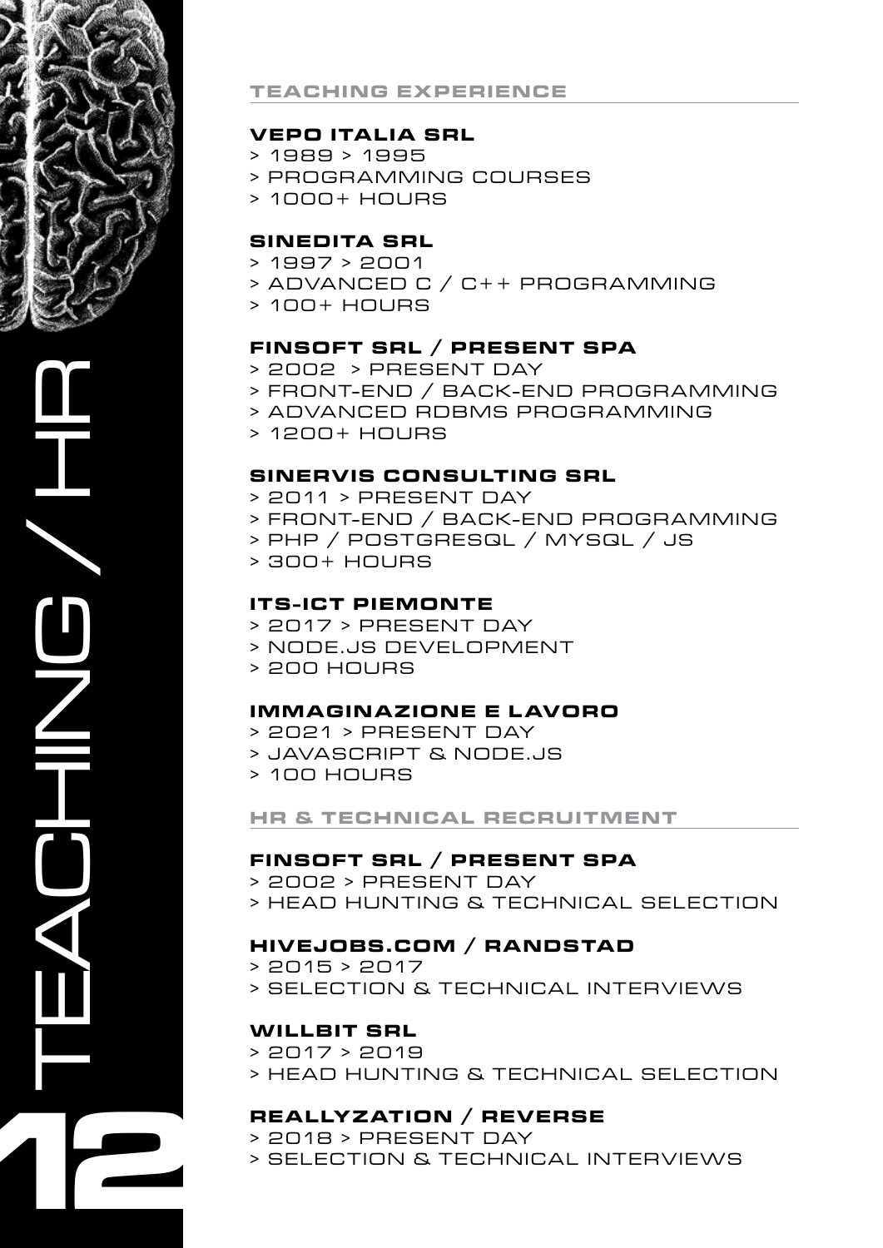

TEACHING / HR **12**

### **TEACHING EX PERIENCE**

### **VEPO ITALIA SRL**

- $> 1989 > 1995$
- > PROGRAMMING COURSES
- > 1000+ HOURS

#### **SINEDITA SRL**

- $> 1997 > 2001$
- > ADVANCED C / C++ PROGRAMMING
- $> 100+$  HOURS

### **FINSOF T SRL / PRESENT SPA**

- > 2002 > PRESENT DAY
- > FRONT-END / BACK-END PROGRAMMING
- > ADVANCED RDBMS PROGRAMMING
- > 12 0 0 + H O U R S

### **SINERVIS CONSULTING SRL**

- $> 2011 > P$  RESENT DAY
- > FRONT-END / BACK-END PROGRAMMING
- > PHP / POSTGRESQL / MYSQL / JS
- > 300+ HOURS

#### **IT S - ICT PIEMONTE**

- $>$  2017  $>$  PRESENT DAY
- > NODE.JS Development
- > 200 HOURS

#### **IMMAGINA ZIONE E L AVORO**

- > 2021 > PRESENT DAY
- > JAVASCRIPT & NODE.JS
- > 100 HOURS

#### **HR & TECHNICAL RECRUITMENT**

#### **FINSOF T SRL / PRESENT SPA**

- > 2002 > PRESENT DAY
- > HEAD HUNTING & TECHNICAL SELECTION

#### **HIVEJOBS.COM / RANDSTAD**

- $> 2015 > 2017$
- > SELECTION & TECHNICAL INTERVIEWS

#### **WILLBIT SRL**

- $> 2017 > 2019$
- > HEAD HUNTING & TECHNICAL SELECTION

### **REALLYZATION / REVERSE**

- > 2018 > PRESENT DAY
- > SELECTION & TECHNICAL INTERVIEWS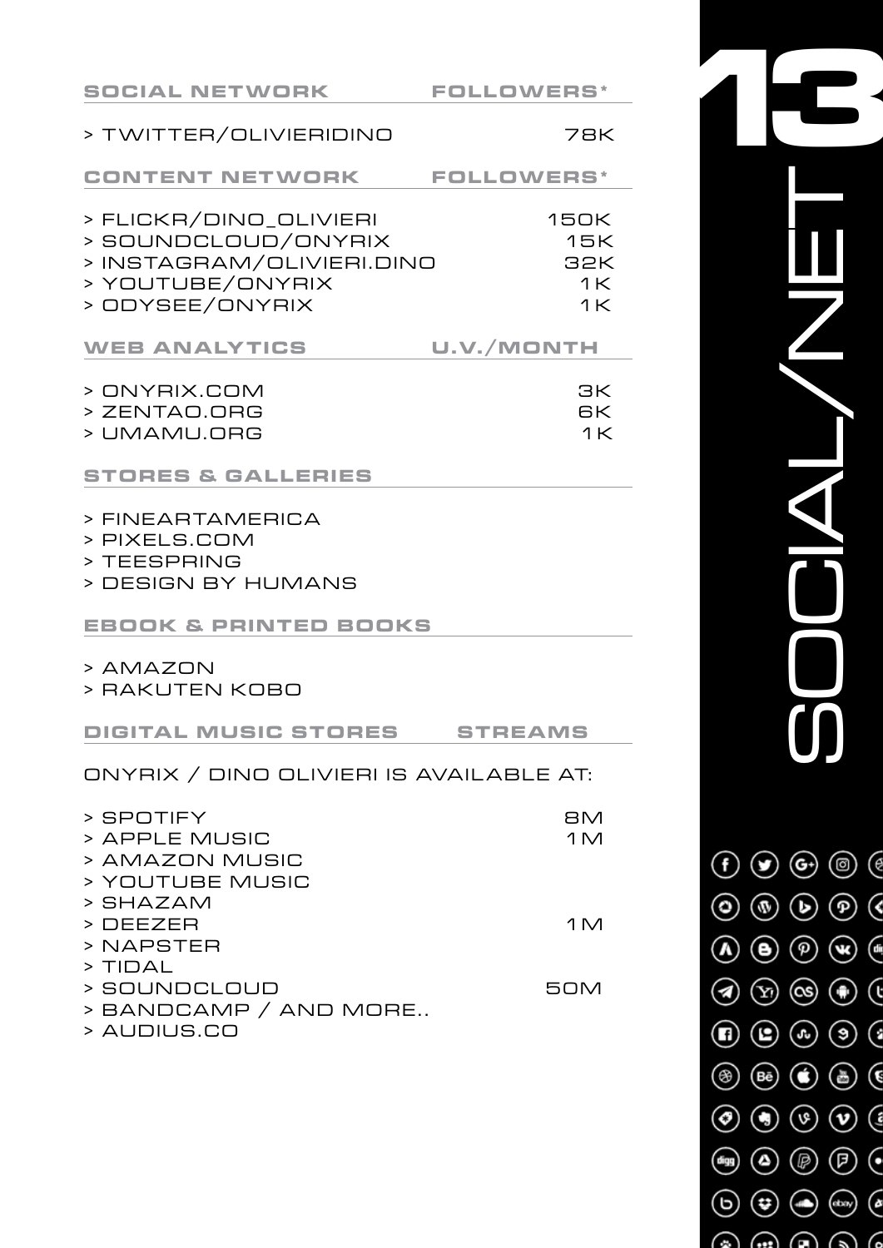| <b>SOCIAL NETWORK</b>                                                                                             | <b>FOLLOWERS*</b>                                        |  |  |  |
|-------------------------------------------------------------------------------------------------------------------|----------------------------------------------------------|--|--|--|
| > TWITTER/OLIVIERIDINO                                                                                            | <b>78K</b>                                               |  |  |  |
| <b>CONTENT NETWORK</b>                                                                                            | <b>FOLLOWERS*</b>                                        |  |  |  |
| > FLICKR/DINO_OLIVIERI<br>> SOUNDCLOUD/ONYRIX<br>> INSTAGRAM/OLIVIERI.DINO<br>> YOUTUBE/ONYRIX<br>> ODYSEE/ONYRIX | <b>150K</b><br>15K<br><b>32K</b><br>1K<br>1 <sup>K</sup> |  |  |  |
| <b>WEB ANALYTICS</b>                                                                                              | U.V./MONTH                                               |  |  |  |
| > ONYRIX.COM<br>> ZENTAO.ORG<br>> UMAMU.ORG                                                                       | ЗК<br>6K<br>1 <sup>K</sup>                               |  |  |  |
| <b>STORES &amp; GALLERIES</b>                                                                                     |                                                          |  |  |  |
| > FINEARTAMERICA<br>> PIXELS.COM<br>> TEESPRING<br>> DESIGN BY HUMANS                                             |                                                          |  |  |  |
| <b>EBOOK &amp; PRINTED BOOKS</b>                                                                                  |                                                          |  |  |  |
| > AMAZON<br>> RAKUTEN KOBO                                                                                        |                                                          |  |  |  |
| DIGITAL MUSIC STORES                                                                                              | <b>STREAMS</b>                                           |  |  |  |
| ONYRIX / DINO OLIVIERI IS AVAILABLE AT:                                                                           |                                                          |  |  |  |
| > SPOTIFY<br>> APPLE MUSIC<br>> AMAZON MUSIC<br>> YOUTUBE MUSIC<br>> SHAZAM                                       | <b>BM</b><br>1 <sub>M</sub>                              |  |  |  |
| > DEEZER<br>> NAPSTER                                                                                             | 1 <sub>M</sub>                                           |  |  |  |
| > TIDAL<br>> SOUNDCLOUD<br>> BANDCAMP / AND MORE<br>> AUDIUS.CO                                                   | <b>50M</b>                                               |  |  |  |
|                                                                                                                   |                                                          |  |  |  |

**13**SOCIAL/NET

 $\textcircled{\scriptsize{f}}\textcircled{\scriptsize{g}}\textcircled{\scriptsize{g}}\textcircled{\scriptsize{g}}\textcircled{\scriptsize{g}}$ 

 $\textcircled{\scriptsize{0}}\textcircled{\scriptsize{0}}\textcircled{\scriptsize{0}}\textcircled{\scriptsize{0}}$ 

 $\textcircled{\scriptsize{A}}\textcircled{\scriptsize{B}}\textcircled{\scriptsize{B}}\textcircled{\scriptsize{B}}\textcircled{\scriptsize{B}}$ 

 $\textcircled{\scriptsize{3}}\textcircled{\scriptsize{3}}\textcircled{\scriptsize{4}}\textcircled{\scriptsize{5}}$ 

 $\textcircled{\scriptsize{1}}\textcircled{\scriptsize{2}}\textcircled{\scriptsize{3}}\textcircled{\scriptsize{4}}\textcircled{\scriptsize{5}}$ 

 $\circledast\hspace{-.15cm} \circledast \hspace{-.15cm} \circledast \hspace{-.15cm} \circledast \hspace{-.15cm} \circledast \hspace{-.15cm} \circledast \hspace{-.15cm} \circledast$ 

 $\textcircled{\scriptsize{0}}\textcircled{\scriptsize{0}}\textcircled{\scriptsize{0}}\textcircled{\scriptsize{1}}$ 

 $\circledast$ 

 $\begin{pmatrix} 0 & 0 \\ 0 & 0 \end{pmatrix} \begin{pmatrix} 0 & 0 \\ 0 & 0 \end{pmatrix} \begin{pmatrix} 0 & 0 \\ 0 & 0 \end{pmatrix}$ 

 $\odot$   $\odot$   $\odot$   $\odot$   $\odot$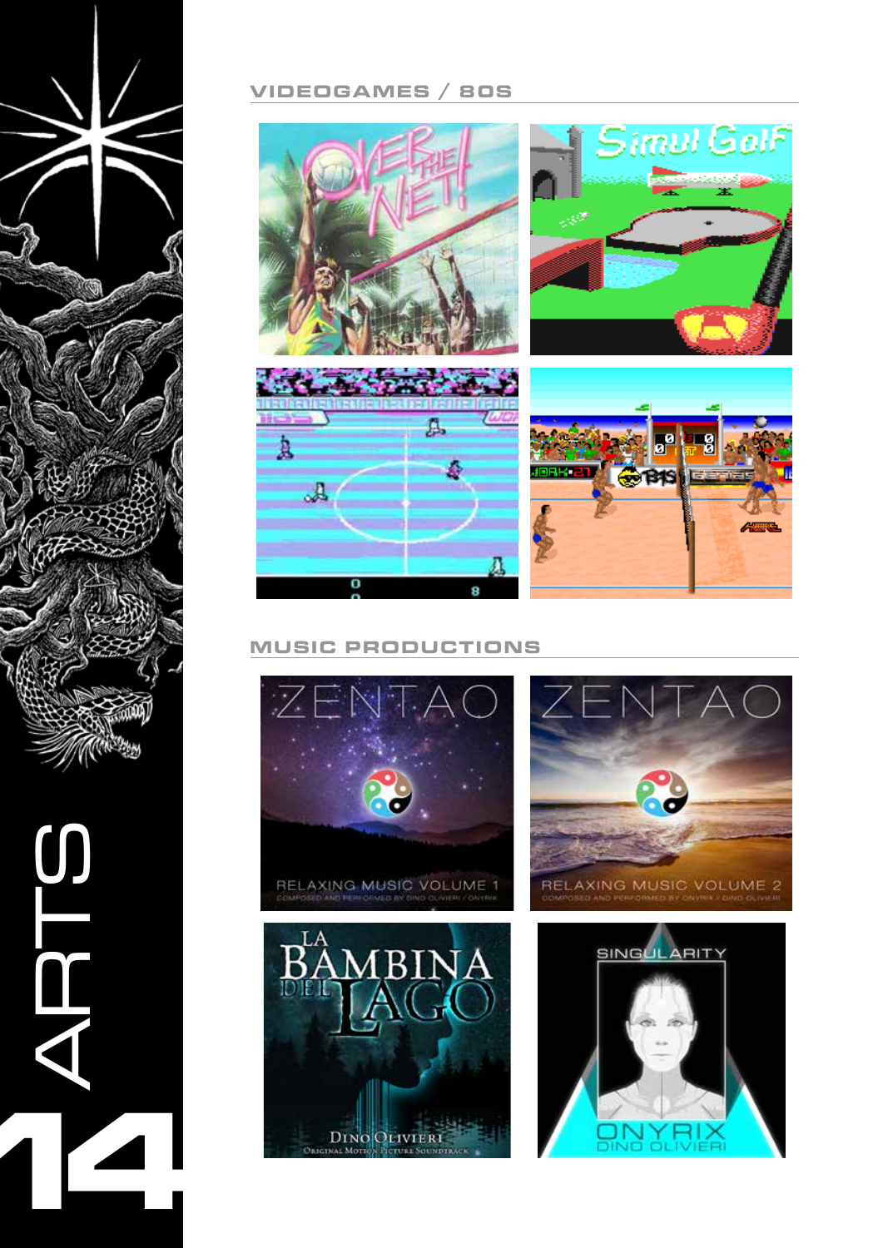

**14**

# **VIDEOGA MES / 80s**









### **MUSIC PRODUCTIONS**



ORIGINAL MOTION PICTURE SOUNDTRACK



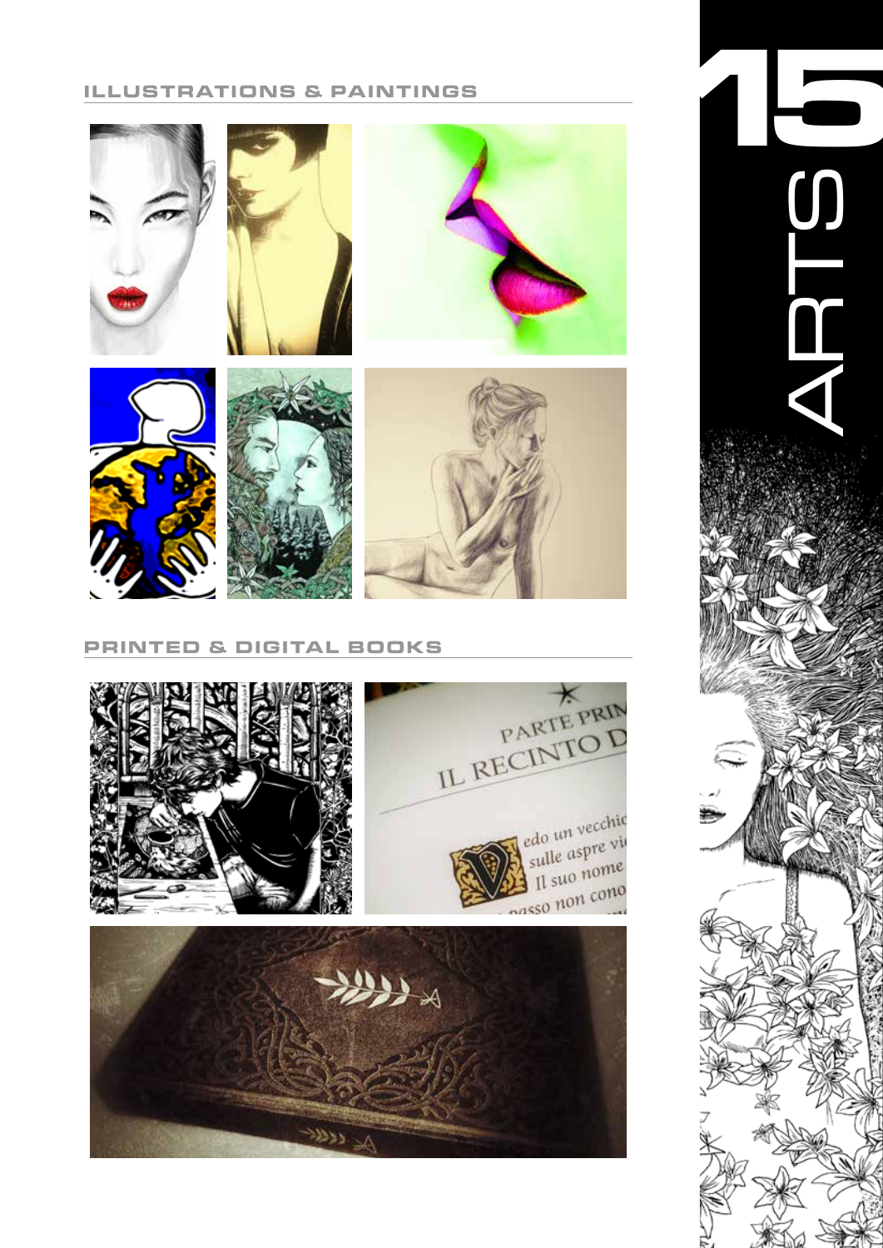### **ILLUSTRATIONS & PAINTINGS**



#### **PRINTED & DIGITAL BOOK S**